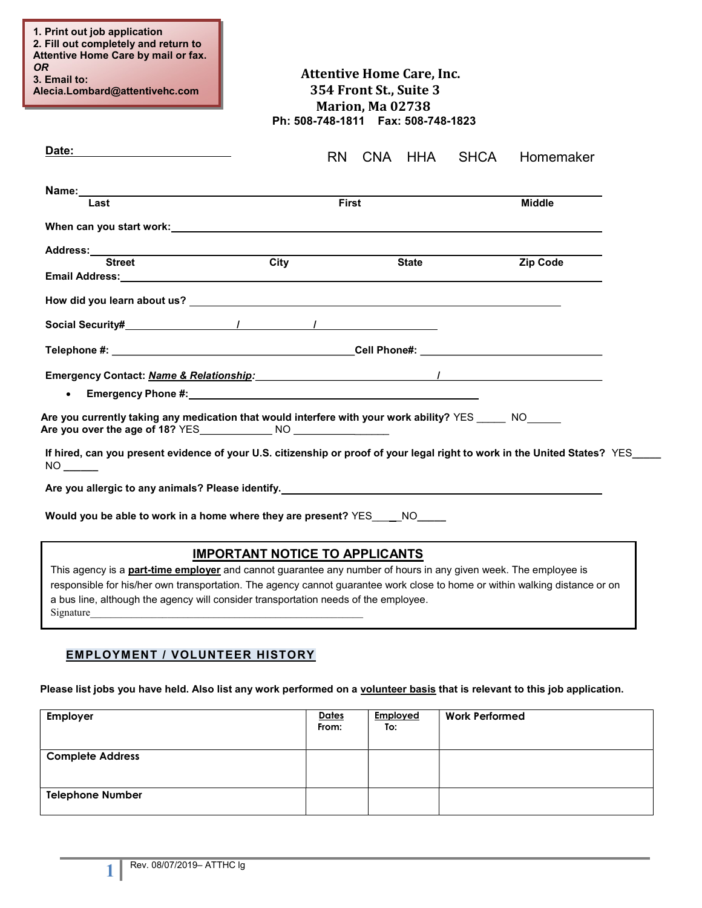| 1. Print out job application<br>2. Fill out completely and return to<br>Attentive Home Care by mail or fax.<br><b>OR</b><br>3. Email to:<br>Alecia.Lombard@attentivehc.com                                                     |                                                                                                                 | <b>Attentive Home Care, Inc.</b><br>354 Front St., Suite 3<br>Marion, Ma 02738<br>Ph: 508-748-1811    Fax: 508-748-1823 |             |               |  |
|--------------------------------------------------------------------------------------------------------------------------------------------------------------------------------------------------------------------------------|-----------------------------------------------------------------------------------------------------------------|-------------------------------------------------------------------------------------------------------------------------|-------------|---------------|--|
| Date:                                                                                                                                                                                                                          |                                                                                                                 | RN CNA HHA                                                                                                              | <b>SHCA</b> | Homemaker     |  |
| Name:                                                                                                                                                                                                                          |                                                                                                                 |                                                                                                                         |             |               |  |
| Last                                                                                                                                                                                                                           |                                                                                                                 | <b>First</b>                                                                                                            |             | <b>Middle</b> |  |
|                                                                                                                                                                                                                                |                                                                                                                 |                                                                                                                         |             |               |  |
| Address:_______<br><b>Street</b>                                                                                                                                                                                               | City                                                                                                            | <b>State</b>                                                                                                            |             | Zip Code      |  |
| Email Address: Universe of the Contract of the Contract of the Contract of the Contract of the Contract of the Contract of the Contract of the Contract of the Contract of the Contract of the Contract of the Contract of the |                                                                                                                 |                                                                                                                         |             |               |  |
|                                                                                                                                                                                                                                |                                                                                                                 |                                                                                                                         |             |               |  |
| Social Security# The Contract of Tensor Contract of Tensor Contract of Tensor Contract of Tensor Contract of T                                                                                                                 |                                                                                                                 |                                                                                                                         |             |               |  |
|                                                                                                                                                                                                                                |                                                                                                                 |                                                                                                                         |             |               |  |
|                                                                                                                                                                                                                                |                                                                                                                 |                                                                                                                         |             |               |  |
| $\bullet$                                                                                                                                                                                                                      | Emergency Phone #: New York Changes and American Changes and American Changes and American Changes and American |                                                                                                                         |             |               |  |
| Are you currently taking any medication that would interfere with your work ability? YES _____ NO_____                                                                                                                         |                                                                                                                 |                                                                                                                         |             |               |  |
|                                                                                                                                                                                                                                |                                                                                                                 |                                                                                                                         |             |               |  |
| If hired, can you present evidence of your U.S. citizenship or proof of your legal right to work in the United States? YES<br>NO NO                                                                                            |                                                                                                                 |                                                                                                                         |             |               |  |
| Are you allergic to any animals? Please identify. And the state of the state of the state of the state of the state of the state of the state of the state of the state of the state of the state of the state of the state of |                                                                                                                 |                                                                                                                         |             |               |  |
| Would you be able to work in a home where they are present? YES __ NO_____                                                                                                                                                     |                                                                                                                 |                                                                                                                         |             |               |  |
|                                                                                                                                                                                                                                | <b>IMPORTANT NOTICE TO APPLICANTS</b>                                                                           |                                                                                                                         |             |               |  |
| This agency is a <b>part-time employer</b> and cannot guarantee any number of hours in any given week. The employee is                                                                                                         |                                                                                                                 |                                                                                                                         |             |               |  |

responsible for his/her own transportation. The agency cannot guarantee work close to home or within walking distance or on a bus line, although the agency will consider transportation needs of the employee. Signature

# EMPLOYMENT / VOLUNTEER HISTORY

Please list jobs you have held. Also list any work performed on a volunteer basis that is relevant to this job application.

| Employer                | <b>Dates</b><br>From: | Employed<br>To: | <b>Work Performed</b> |
|-------------------------|-----------------------|-----------------|-----------------------|
| <b>Complete Address</b> |                       |                 |                       |
| <b>Telephone Number</b> |                       |                 |                       |

1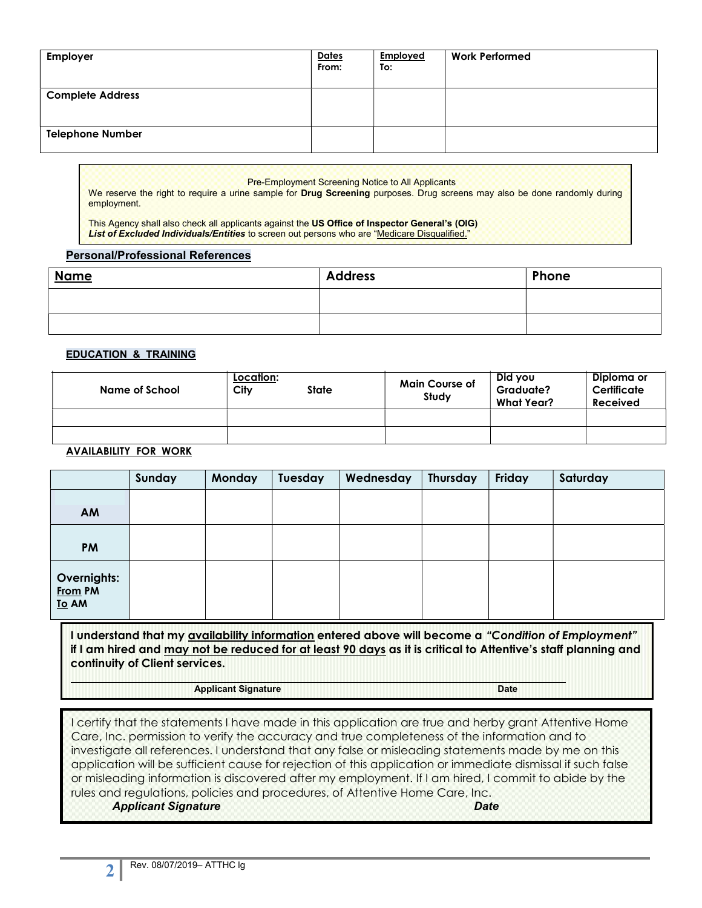| Employer                | <b>Dates</b><br>From: | Employed<br>To: | <b>Work Performed</b> |
|-------------------------|-----------------------|-----------------|-----------------------|
| <b>Complete Address</b> |                       |                 |                       |
| <b>Telephone Number</b> |                       |                 |                       |

 Pre-Employment Screening Notice to All Applicants We reserve the right to require a urine sample for Drug Screening purposes. Drug screens may also be done randomly during employment.

This Agency shall also check all applicants against the US Office of Inspector General's (OIG) List of Excluded Individuals/Entities to screen out persons who are "Medicare Disqualified."

#### Personal/Professional References

| <b>Name</b> | <b>Address</b> | Phone |
|-------------|----------------|-------|
|             |                |       |
|             |                |       |

## EDUCATION & TRAINING

| Name of School | Location:<br>City<br><b>State</b> | <b>Main Course of</b><br>Study | Did you<br><b>Graduate?</b><br>What Year? | Diploma or<br>Certificate<br><b>Received</b> |
|----------------|-----------------------------------|--------------------------------|-------------------------------------------|----------------------------------------------|
|                |                                   |                                |                                           |                                              |
|                |                                   |                                |                                           |                                              |

### AVAILABILITY FOR WORK

|                                 | Sunday | Monday | Tuesday | Wednesday | Thursday | Friday | Saturday |
|---------------------------------|--------|--------|---------|-----------|----------|--------|----------|
| AM                              |        |        |         |           |          |        |          |
| <b>PM</b>                       |        |        |         |           |          |        |          |
| Overnights:<br>From PM<br>To AM |        |        |         |           |          |        |          |

 if I am hired and may not be reduced for at least 90 days as it is critical to Attentive's staff planning and I understand that my availability information entered above will become a "Condition of Employment" continuity of Client services.

#### Applicant Signature Date Date Date

I certify that the statements I have made in this application are true and herby grant Attentive Home Care, Inc. permission to verify the accuracy and true completeness of the information and to investigate all references. I understand that any false or misleading statements made by me on this application will be sufficient cause for rejection of this application or immediate dismissal if such false or misleading information is discovered after my employment. If I am hired, I commit to abide by the rules and regulations, policies and procedures, of Attentive Home Care, Inc.

Applicant Signature Date

I